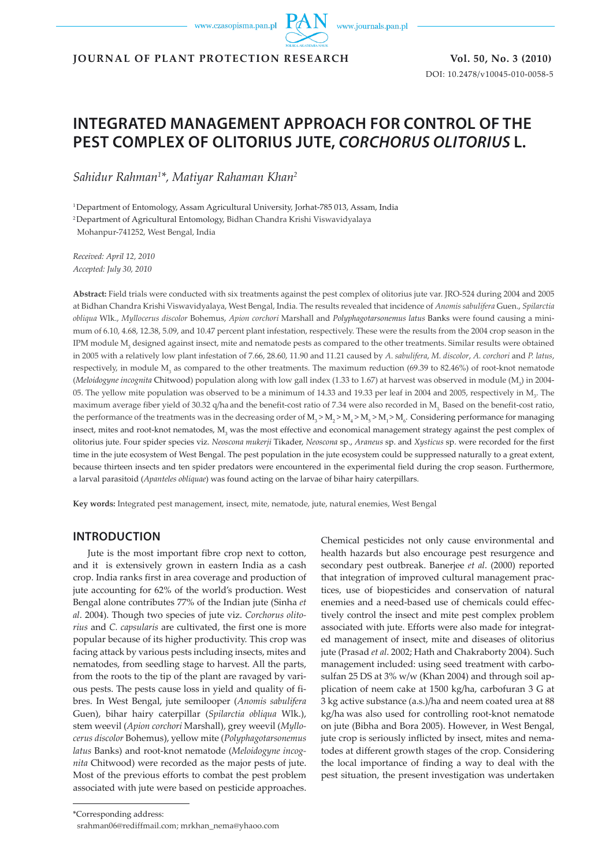www.czasopisma.pan.pl

www.journals.pan.pl

**JOURNAL OF PLANT PROTECTION RESEARCH Vol. 50, No. 3 (2010)**

DOI: 10.2478/v10045-010-0058-5

# **INTEGRATED MANAGEMENT APPROACH FOR CONTROL OF THE PEST COMPLEX OF OLITORIUS JUTE,** *CORCHORUS OLITORIUS* **L.**

*Sahidur Rahman1 \*, Matiyar Rahaman Khan2*

<sup>1</sup>Department of Entomology, Assam Agricultural University, Jorhat-785 013, Assam, India

2 Department of Agricultural Entomology, Bidhan Chandra Krishi Viswavidyalaya

Mohanpur-741252, West Bengal, India

*Received: April 12, 2010 Accepted: July 30, 2010*

**Abstract:** Field trials were conducted with six treatments against the pest complex of olitorius jute var. JRO-524 during 2004 and 2005 at Bidhan Chandra Krishi Viswavidyalaya, West Bengal, India. The results revealed that incidence of *Anomis sabulifera* Guen., *Spilarctia obliqua* Wlk., *Myllocerus discolor* Bohemus, *Apion corchori* Marshall and *Polyphagotarsonemus latus* Banks were found causing a minimum of 6.10, 4.68, 12.38, 5.09, and 10.47 percent plant infestation, respectively. These were the results from the 2004 crop season in the IPM module  $M_3$  designed against insect, mite and nematode pests as compared to the other treatments. Similar results were obtained in 2005 with a relatively low plant infestation of 7.66, 28.60, 11.90 and 11.21 caused by *A*. *sabulifera*, *M. discolor*, *A. corchori* and *P. latus*, respectively, in module  $M_3$  as compared to the other treatments. The maximum reduction (69.39 to 82.46%) of root-knot nematode (*Meloidogyne incognita* Chitwood) population along with low gall index (1.33 to 1.67) at harvest was observed in module (M<sub>3</sub>) in 2004-05. The yellow mite population was observed to be a minimum of 14.33 and 19.33 per leaf in 2004 and 2005, respectively in  $M$ <sub>3</sub>. The maximum average fiber yield of 30.32 q/ha and the benefit-cost ratio of 7.34 were also recorded in M<sub>3</sub> Based on the benefit-cost ratio, the performance of the treatments was in the decreasing order of  $M_3 > M_2 > M_4 > M_5 > M_1 > M_e$ . Considering performance for managing insect, mites and root-knot nematodes,  $M_3$  was the most effective and economical management strategy against the pest complex of olitorius jute. Four spider species viz*. Neoscona mukerji* Tikader, *Neoscona* sp., *Araneus* sp. and *Xysticus* sp. were recorded for the first time in the jute ecosystem of West Bengal. The pest population in the jute ecosystem could be suppressed naturally to a great extent, because thirteen insects and ten spider predators were encountered in the experimental field during the crop season. Furthermore, a larval parasitoid (*Apanteles obliquae*) was found acting on the larvae of bihar hairy caterpillars.

**Key words:** Integrated pest management, insect, mite, nematode, jute, natural enemies, West Bengal

### **INTRODUCTION**

Jute is the most important fibre crop next to cotton, and it is extensively grown in eastern India as a cash crop. India ranks first in area coverage and production of jute accounting for 62% of the world's production. West Bengal alone contributes 77% of the Indian jute (Sinha *et al*. 2004). Though two species of jute viz. *Corchorus olitorius* and *C. capsularis* are cultivated, the first one is more popular because of its higher productivity. This crop was facing attack by various pests including insects, mites and nematodes, from seedling stage to harvest. All the parts, from the roots to the tip of the plant are ravaged by various pests. The pests cause loss in yield and quality of fibres. In West Bengal, jute semilooper (*Anomis sabulifera* Guen), bihar hairy caterpillar (*Spilarctia obliqua* Wlk.), stem weevil (*Apion corchori* Marshall), grey weevil (*Myllocerus discolor* Bohemus), yellow mite (*Polyphagotarsonemus latus* Banks) and root-knot nematode (*Meloidogyne incognita* Chitwood) were recorded as the major pests of jute. Most of the previous efforts to combat the pest problem associated with jute were based on pesticide approaches.

Chemical pesticides not only cause environmental and health hazards but also encourage pest resurgence and secondary pest outbreak. Banerjee *et al*. (2000) reported that integration of improved cultural management practices, use of biopesticides and conservation of natural enemies and a need-based use of chemicals could effectively control the insect and mite pest complex problem associated with jute. Efforts were also made for integrated management of insect, mite and diseases of olitorius jute (Prasad *et al*. 2002; Hath and Chakraborty 2004). Such management included: using seed treatment with carbosulfan 25 DS at 3% w/w (Khan 2004) and through soil application of neem cake at 1500 kg/ha, carbofuran 3 G at 3 kg active substance (a.s.)/ha and neem coated urea at 88 kg/ha was also used for controlling root-knot nematode on jute (Bibha and Bora 2005). However, in West Bengal, jute crop is seriously inflicted by insect, mites and nematodes at different growth stages of the crop. Considering the local importance of finding a way to deal with the pest situation, the present investigation was undertaken

<sup>\*</sup>Corresponding address:

srahman06@rediffmail.com; mrkhan\_nema@yhaoo.com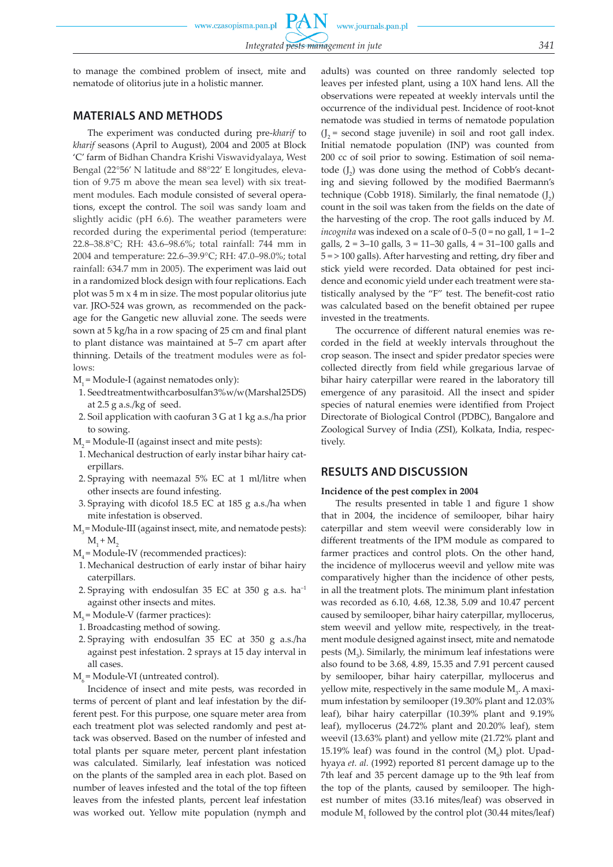www.czasopisma.pan.pl

*Integrated pests management in jute 341*

www.journals.pan.pl

PA

to manage the combined problem of insect, mite and nematode of olitorius jute in a holistic manner.

### **MATERIALS AND METHODS**

The experiment was conducted during pre-*kharif* to *kharif* seasons (April to August), 2004 and 2005 at Block 'C' farm of Bidhan Chandra Krishi Viswavidyalaya, West Bengal (22°56' N latitude and 88°22' E longitudes, elevation of 9.75 m above the mean sea level) with six treatment modules. Each module consisted of several operations, except the control. The soil was sandy loam and slightly acidic (pH 6.6). The weather parameters were recorded during the experimental period (temperature: 22.8–38.8°C; RH: 43.6–98.6%; total rainfall: 744 mm in 2004 and temperature: 22.6–39.9°C; RH: 47.0–98.0%; total rainfall: 634.7 mm in 2005). The experiment was laid out in a randomized block design with four replications. Each plot was 5 m x 4 m in size. The most popular olitorius jute var. JRO-524 was grown, as recommended on the package for the Gangetic new alluvial zone. The seeds were sown at 5 kg/ha in a row spacing of 25 cm and final plant to plant distance was maintained at 5–7 cm apart after thinning. Details of the treatment modules were as follows:

- $M<sub>1</sub>$  = Module-I (against nematodes only):
- 1. Seed treatment with carbosulfan 3% w/w (Marshal 25 DS) at 2.5 g a.s./kg of seed.
- 2. Soil application with caofuran 3 G at 1 kg a.s./ha prior to sowing.
- $M<sub>2</sub>$  = Module-II (against insect and mite pests):
- 1. Mechanical destruction of early instar bihar hairy caterpillars.
- 2. Spraying with neemazal 5% EC at 1 ml/litre when other insects are found infesting.
- 3. Spraying with dicofol 18.5 EC at 185 g a.s./ha when mite infestation is observed.
- M<sub>2</sub> = Module-III (against insect, mite, and nematode pests):  $M<sub>1</sub> + M<sub>2</sub>$
- $M<sub>4</sub>$  = Module-IV (recommended practices):
- 1. Mechanical destruction of early instar of bihar hairy caterpillars.
- 2. Spraying with endosulfan 35 EC at 350 g a.s.  $ha^{-1}$ against other insects and mites.
- $M<sub>r</sub>$  = Module-V (farmer practices):
- 1. Broadcasting method of sowing.
- 2. Spraying with endosulfan 35 EC at 350 g a.s./ha against pest infestation. 2 sprays at 15 day interval in all cases.
- M<sub>c</sub> = Module-VI (untreated control).

Incidence of insect and mite pests, was recorded in terms of percent of plant and leaf infestation by the different pest. For this purpose, one square meter area from each treatment plot was selected randomly and pest attack was observed. Based on the number of infested and total plants per square meter, percent plant infestation was calculated. Similarly, leaf infestation was noticed on the plants of the sampled area in each plot. Based on number of leaves infested and the total of the top fifteen leaves from the infested plants, percent leaf infestation was worked out. Yellow mite population (nymph and adults) was counted on three randomly selected top leaves per infested plant, using a 10X hand lens. All the observations were repeated at weekly intervals until the occurrence of the individual pest. Incidence of root-knot nematode was studied in terms of nematode population  $(J_2$  = second stage juvenile) in soil and root gall index. Initial nematode population (INP) was counted from 200 cc of soil prior to sowing. Estimation of soil nematode  $(J_2)$  was done using the method of Cobb's decanting and sieving followed by the modified Baermann's technique (Cobb 1918). Similarly, the final nematode  $(J_2)$ count in the soil was taken from the fields on the date of the harvesting of the crop. The root galls induced by *M. incognita* was indexed on a scale of  $0-5$   $(0 =$  no gall,  $1 = 1-2$ galls, 2 = 3–10 galls, 3 = 11–30 galls, 4 = 31–100 galls and 5 = > 100 galls). After harvesting and retting, dry fiber and stick yield were recorded. Data obtained for pest incidence and economic yield under each treatment were statistically analysed by the "F" test. The benefit-cost ratio was calculated based on the benefit obtained per rupee invested in the treatments.

The occurrence of different natural enemies was recorded in the field at weekly intervals throughout the crop season. The insect and spider predator species were collected directly from field while gregarious larvae of bihar hairy caterpillar were reared in the laboratory till emergence of any parasitoid. All the insect and spider species of natural enemies were identified from Project Directorate of Biological Control (PDBC), Bangalore and Zoological Survey of India (ZSI), Kolkata, India, respectively.

### **RESULTS AND DISCUSSION**

#### **Incidence of the pest complex in 2004**

The results presented in table 1 and figure 1 show that in 2004, the incidence of semilooper, bihar hairy caterpillar and stem weevil were considerably low in different treatments of the IPM module as compared to farmer practices and control plots. On the other hand, the incidence of myllocerus weevil and yellow mite was comparatively higher than the incidence of other pests, in all the treatment plots. The minimum plant infestation was recorded as 6.10, 4.68, 12.38, 5.09 and 10.47 percent caused by semilooper, bihar hairy caterpillar, myllocerus, stem weevil and yellow mite, respectively, in the treatment module designed against insect, mite and nematode pests  $(M_3)$ . Similarly, the minimum leaf infestations were also found to be 3.68, 4.89, 15.35 and 7.91 percent caused by semilooper, bihar hairy caterpillar, myllocerus and yellow mite, respectively in the same module  $M_{3}$ . A maximum infestation by semilooper (19.30% plant and 12.03% leaf), bihar hairy caterpillar (10.39% plant and 9.19% leaf), myllocerus (24.72% plant and 20.20% leaf), stem weevil (13.63% plant) and yellow mite (21.72% plant and 15.19% leaf) was found in the control  $(M_6)$  plot. Upadhyaya *et. al.* (1992) reported 81 percent damage up to the 7th leaf and 35 percent damage up to the 9th leaf from the top of the plants, caused by semilooper. The highest number of mites (33.16 mites/leaf) was observed in module  $M_1$  followed by the control plot (30.44 mites/leaf)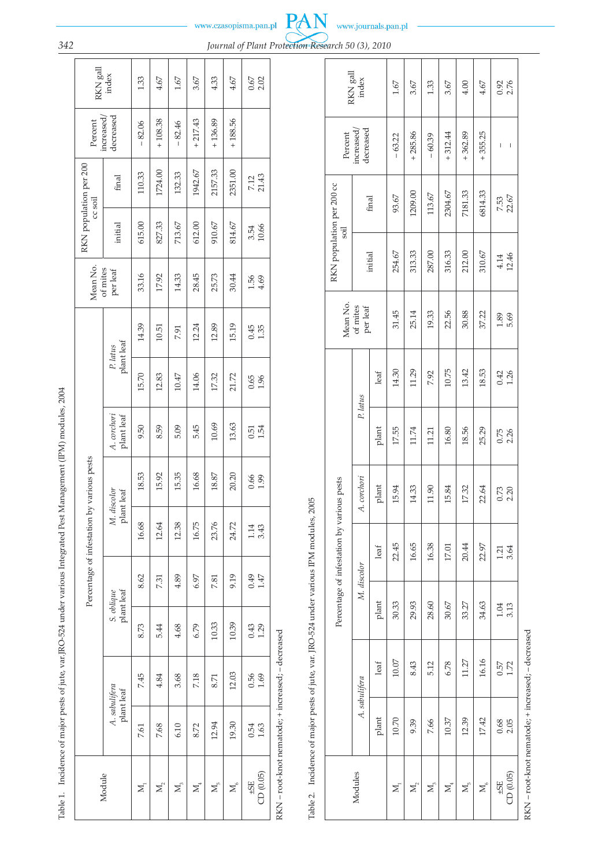| RKN gall<br>RKN gall<br>index<br>1.33<br>4.67<br>1.67<br>3.67<br>4.33<br>0.67<br>2.02<br>4.67<br>index<br>decreased<br>increased/<br>$+188.56$<br>$+108.38$<br>$+217.43$<br>$+136.89$<br>Percent<br>$-82.46$<br>82.06<br>decreased<br>increased/<br>Percent<br>RKN population per 200<br>1942.67<br>2157.33<br>2351.00<br>1724.00<br>132.33<br>110.33<br>21.43<br>final<br>7.12<br>RKN population per 200 cc<br>final<br>cc soil<br>612.00<br>827.33<br>713.67<br>910.67<br>814.67<br>615.00<br>initial<br>10.66<br>3.54<br>soil<br>initial<br>Mean No.<br>of mites<br>per leaf<br>33.16<br>28.45<br>17.92<br>14.33<br>25.73<br>30.44<br>1.56<br>4.69<br>Mean No.<br>of mites<br>per leaf<br>14.39<br>12.24<br>12.89<br>15.19<br>10.51<br>0.45<br>1.35<br>7.91<br>plant leaf<br>P. latus<br>14.06<br>15.70<br>12.83<br>10.47<br>17.32<br>21.72<br>0.65<br>1.96<br>P. latus<br>A. corchori<br>plant leaf<br>10.69<br>13.63<br>5.45<br>9.50<br>5.09<br>8.59<br>1.54<br>0.51<br>Percentage of infestation by various pests<br>15.35<br>15.92<br>16.68<br>18.87<br>18.53<br>20.20<br>0.66<br>1.99<br>A. corchori<br>Percentage of infestation by various pests<br>M. discolor<br>plant leaf<br>2005<br>Table 2. Incidence of major pests of jute, var. JRO-524 under various IPM modules,<br>23.76<br>16.68<br>12.38<br>16.75<br>12.64<br>24.72<br>1.14<br>3.43<br>M. discolor<br>8.62<br>6.97<br>9.19<br>4.89<br>650<br>1.47<br>7.31<br>7.81<br>plant leaf<br>S. oblique<br>10.39<br>10.33<br>8.73<br>4.68<br>6.79<br>5.44<br>0.43<br>1.29<br>RKN – root-knot nematode; + increased; – decreased<br>12.03<br>7.45<br>3.68<br>7.18<br>0.56<br>4.84<br>1.69<br>8.71<br>A. sabulifera<br>A. sabulifera<br>plant leaf<br>19.30<br>12.94<br>8.72<br>7.68<br>6.10<br>0.54<br>1.63<br>7.61<br>Modules<br>CD(0.05)<br>Module<br>$-54$<br>$\mathbf{M}_{_{\!2}}$<br>$\mathbf{z}$<br>$\mathsf{X}^4_4$<br>$\mathbf{N}_5$<br>$\mathbb{X}_{\circ}$<br>Σ, |  |  |  |  |  |  |  |       |       |
|-----------------------------------------------------------------------------------------------------------------------------------------------------------------------------------------------------------------------------------------------------------------------------------------------------------------------------------------------------------------------------------------------------------------------------------------------------------------------------------------------------------------------------------------------------------------------------------------------------------------------------------------------------------------------------------------------------------------------------------------------------------------------------------------------------------------------------------------------------------------------------------------------------------------------------------------------------------------------------------------------------------------------------------------------------------------------------------------------------------------------------------------------------------------------------------------------------------------------------------------------------------------------------------------------------------------------------------------------------------------------------------------------------------------------------------------------------------------------------------------------------------------------------------------------------------------------------------------------------------------------------------------------------------------------------------------------------------------------------------------------------------------------------------------------------------------------------------------------------------------------------------------------------------------------------------------|--|--|--|--|--|--|--|-------|-------|
|                                                                                                                                                                                                                                                                                                                                                                                                                                                                                                                                                                                                                                                                                                                                                                                                                                                                                                                                                                                                                                                                                                                                                                                                                                                                                                                                                                                                                                                                                                                                                                                                                                                                                                                                                                                                                                                                                                                                         |  |  |  |  |  |  |  |       |       |
|                                                                                                                                                                                                                                                                                                                                                                                                                                                                                                                                                                                                                                                                                                                                                                                                                                                                                                                                                                                                                                                                                                                                                                                                                                                                                                                                                                                                                                                                                                                                                                                                                                                                                                                                                                                                                                                                                                                                         |  |  |  |  |  |  |  |       |       |
|                                                                                                                                                                                                                                                                                                                                                                                                                                                                                                                                                                                                                                                                                                                                                                                                                                                                                                                                                                                                                                                                                                                                                                                                                                                                                                                                                                                                                                                                                                                                                                                                                                                                                                                                                                                                                                                                                                                                         |  |  |  |  |  |  |  |       |       |
|                                                                                                                                                                                                                                                                                                                                                                                                                                                                                                                                                                                                                                                                                                                                                                                                                                                                                                                                                                                                                                                                                                                                                                                                                                                                                                                                                                                                                                                                                                                                                                                                                                                                                                                                                                                                                                                                                                                                         |  |  |  |  |  |  |  |       |       |
|                                                                                                                                                                                                                                                                                                                                                                                                                                                                                                                                                                                                                                                                                                                                                                                                                                                                                                                                                                                                                                                                                                                                                                                                                                                                                                                                                                                                                                                                                                                                                                                                                                                                                                                                                                                                                                                                                                                                         |  |  |  |  |  |  |  |       |       |
|                                                                                                                                                                                                                                                                                                                                                                                                                                                                                                                                                                                                                                                                                                                                                                                                                                                                                                                                                                                                                                                                                                                                                                                                                                                                                                                                                                                                                                                                                                                                                                                                                                                                                                                                                                                                                                                                                                                                         |  |  |  |  |  |  |  |       |       |
|                                                                                                                                                                                                                                                                                                                                                                                                                                                                                                                                                                                                                                                                                                                                                                                                                                                                                                                                                                                                                                                                                                                                                                                                                                                                                                                                                                                                                                                                                                                                                                                                                                                                                                                                                                                                                                                                                                                                         |  |  |  |  |  |  |  |       | leaf  |
|                                                                                                                                                                                                                                                                                                                                                                                                                                                                                                                                                                                                                                                                                                                                                                                                                                                                                                                                                                                                                                                                                                                                                                                                                                                                                                                                                                                                                                                                                                                                                                                                                                                                                                                                                                                                                                                                                                                                         |  |  |  |  |  |  |  |       | plant |
|                                                                                                                                                                                                                                                                                                                                                                                                                                                                                                                                                                                                                                                                                                                                                                                                                                                                                                                                                                                                                                                                                                                                                                                                                                                                                                                                                                                                                                                                                                                                                                                                                                                                                                                                                                                                                                                                                                                                         |  |  |  |  |  |  |  | plant |       |
|                                                                                                                                                                                                                                                                                                                                                                                                                                                                                                                                                                                                                                                                                                                                                                                                                                                                                                                                                                                                                                                                                                                                                                                                                                                                                                                                                                                                                                                                                                                                                                                                                                                                                                                                                                                                                                                                                                                                         |  |  |  |  |  |  |  |       | leaf  |
|                                                                                                                                                                                                                                                                                                                                                                                                                                                                                                                                                                                                                                                                                                                                                                                                                                                                                                                                                                                                                                                                                                                                                                                                                                                                                                                                                                                                                                                                                                                                                                                                                                                                                                                                                                                                                                                                                                                                         |  |  |  |  |  |  |  |       |       |
|                                                                                                                                                                                                                                                                                                                                                                                                                                                                                                                                                                                                                                                                                                                                                                                                                                                                                                                                                                                                                                                                                                                                                                                                                                                                                                                                                                                                                                                                                                                                                                                                                                                                                                                                                                                                                                                                                                                                         |  |  |  |  |  |  |  |       | plant |
|                                                                                                                                                                                                                                                                                                                                                                                                                                                                                                                                                                                                                                                                                                                                                                                                                                                                                                                                                                                                                                                                                                                                                                                                                                                                                                                                                                                                                                                                                                                                                                                                                                                                                                                                                                                                                                                                                                                                         |  |  |  |  |  |  |  | leaf  |       |
|                                                                                                                                                                                                                                                                                                                                                                                                                                                                                                                                                                                                                                                                                                                                                                                                                                                                                                                                                                                                                                                                                                                                                                                                                                                                                                                                                                                                                                                                                                                                                                                                                                                                                                                                                                                                                                                                                                                                         |  |  |  |  |  |  |  |       | plant |
|                                                                                                                                                                                                                                                                                                                                                                                                                                                                                                                                                                                                                                                                                                                                                                                                                                                                                                                                                                                                                                                                                                                                                                                                                                                                                                                                                                                                                                                                                                                                                                                                                                                                                                                                                                                                                                                                                                                                         |  |  |  |  |  |  |  |       |       |

| RKN gall<br>index                          |                         |                               | 1.67     | 3.67                    | 1.33     | 3.67           | 4.00             | 4.67             | 0.92<br>2.76           |
|--------------------------------------------|-------------------------|-------------------------------|----------|-------------------------|----------|----------------|------------------|------------------|------------------------|
| Percent                                    | decreased<br>increased/ |                               | $-63.22$ | $+285.86$               | $-60.39$ | $+312.44$      | $+362.89$        | $+355.25$        | I<br>I                 |
| RKN population per 200 cc                  | final                   |                               | 93.67    | 1209.00                 | 113.67   | 2304.67        | 7181.33          | 6814.33          | 7.53<br>22.67          |
| soil                                       | initial                 |                               | 254.67   | 313.33                  | 287.00   | 316.33         | 212.00           | 310.67           | $4.14$<br>12.46        |
| Mean No.                                   | of mites<br>per leaf    |                               | 31.45    | 25.14                   | 19.33    | 22.56          | 30.88            | 37.22            | $\frac{1.89}{5.69}$    |
|                                            | P. latus                | leaf                          | 14.30    | 11.29                   | 7.92     | 10.75          | 13.42            | 18.53            | 0.42<br>1.26           |
|                                            |                         | plant                         | 17.55    | 11.74                   | 11.21    | 16.80          | 18.56            | 25.29            | 0.75<br>2.26           |
|                                            | A. corchori             | plant                         | 15.94    | 14.33                   | 11.90    | 15.84          | 17.32            | 22.64            | 0.73<br>2.20           |
| Percentage of infestation by various pests |                         | leaf                          | 22.45    | 16.65                   | 16.38    | 17.01          | 20.44            | 22.97            | 3.64<br>1.21           |
|                                            | M. discolor             | plant                         | 30.33    | 29.93                   | 28.60    | 30.67          | 33.27            | 34.63            | 3.13<br>1.04           |
|                                            |                         | leaf                          | $10.07$  | 8.43                    | 5.12     | 6.78           | 11.27            | 16.16            | 0.57<br>1.72           |
|                                            | A. sabulifera           | $\mathop{\rm plant}\nolimits$ | 10.70    | 9.39                    | 7.66     | 10.37          | 12.39            | 17.42            | 0.68<br>2.05           |
|                                            | Modules                 |                               | Σ,       | $\mathbf{X}_2^{\prime}$ | Ą,       | $\mathsf{X}_4$ | $\Sigma_{\rm s}$ | $\Sigma_{\circ}$ | CD(0.05)<br><b>HSE</b> |

www.journals.pan.pl

PA

RKN - root-knot nematode; + increased; - decreased RKN – root-knot nematode; + increased; – decreased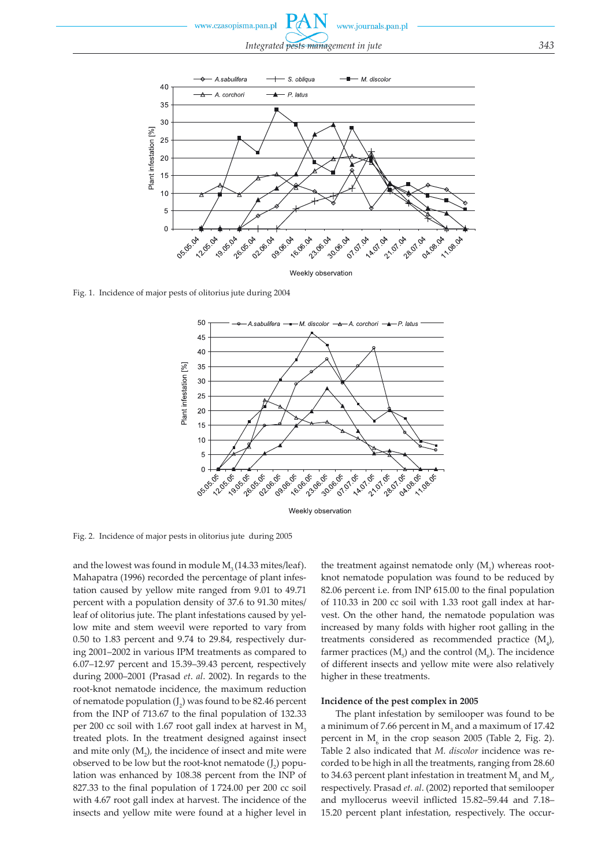

Fig. 1. Incidence of major pests of olitorius jute during 2004



Fig. 2. Incidence of major pests in olitorius jute during 2005

and the lowest was found in module  $M<sub>2</sub>(14.33 mites/leaf)$ . Mahapatra (1996) recorded the percentage of plant infestation caused by yellow mite ranged from 9.01 to 49.71 percent with a population density of 37.6 to 91.30 mites/ leaf of olitorius jute. The plant infestations caused by yellow mite and stem weevil were reported to vary from 0.50 to 1.83 percent and 9.74 to 29.84, respectively during 2001–2002 in various IPM treatments as compared to 6.07–12.97 percent and 15.39–39.43 percent, respectively during 2000–2001 (Prasad *et*. *al*. 2002). In regards to the root-knot nematode incidence, the maximum reduction of nematode population  $(J_2)$  was found to be 82.46 percent from the INP of 713.67 to the final population of 132.33 per 200 cc soil with 1.67 root gall index at harvest in  $M$ <sub>3</sub> treated plots. In the treatment designed against insect and mite only  $(M_2)$ , the incidence of insect and mite were observed to be low but the root-knot nematode  $(J_2)$  population was enhanced by 108.38 percent from the INP of 827.33 to the final population of 1 724.00 per 200 cc soil with 4.67 root gall index at harvest. The incidence of the insects and yellow mite were found at a higher level in

the treatment against nematode only  $(M_1)$  whereas rootknot nematode population was found to be reduced by 82.06 percent i.e. from INP 615.00 to the final population of 110.33 in 200 cc soil with 1.33 root gall index at harvest. On the other hand, the nematode population was increased by many folds with higher root galling in the treatments considered as recommended practice  $(M_4)$ , farmer practices ( $M$ <sub>5</sub>) and the control ( $M$ <sub>6</sub>). The incidence of different insects and yellow mite were also relatively higher in these treatments.

#### **Incidence of the pest complex in 2005**

The plant infestation by semilooper was found to be a minimum of 7.66 percent in  $M_3$  and a maximum of 17.42 percent in  $M_6$  in the crop season 2005 (Table 2, Fig. 2). Table 2 also indicated that *M. discolor* incidence was recorded to be high in all the treatments, ranging from 28.60 to 34.63 percent plant infestation in treatment  $M_3$  and  $M_{\rm e}$ , respectively. Prasad *et. al*. (2002) reported that semilooper and myllocerus weevil inflicted 15.82–59.44 and 7.18– 15.20 percent plant infestation, respectively. The occur-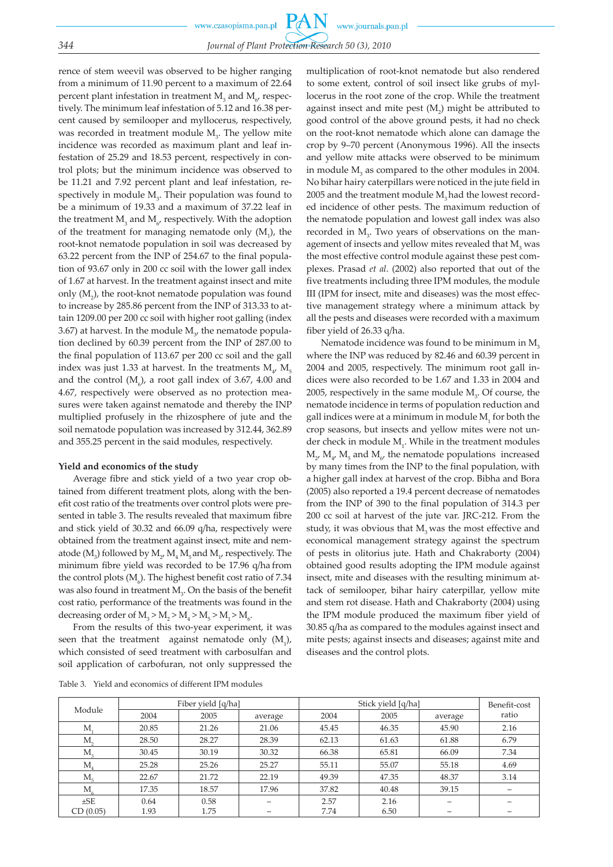rence of stem weevil was observed to be higher ranging from a minimum of 11.90 percent to a maximum of 22.64 percent plant infestation in treatment  $M_{3}$  and  $M_{6}$ , respectively. The minimum leaf infestation of 5.12 and 16.38 percent caused by semilooper and myllocerus, respectively, was recorded in treatment module  $M_{3}$ . The yellow mite incidence was recorded as maximum plant and leaf infestation of 25.29 and 18.53 percent, respectively in control plots; but the minimum incidence was observed to be 11.21 and 7.92 percent plant and leaf infestation, respectively in module  $M_{3}$ . Their population was found to be a minimum of 19.33 and a maximum of 37.22 leaf in the treatment  $M_3$  and  $M_{\rm e}$ , respectively. With the adoption of the treatment for managing nematode only  $(M_1)$ , the root-knot nematode population in soil was decreased by 63.22 percent from the INP of 254.67 to the final population of 93.67 only in 200 cc soil with the lower gall index of 1.67 at harvest. In the treatment against insect and mite only  $(M_2)$ , the root-knot nematode population was found to increase by 285.86 percent from the INP of 313.33 to attain 1209.00 per 200 cc soil with higher root galling (index 3.67) at harvest. In the module  $\mathrm{M}_{\mathit{y}}$  the nematode population declined by 60.39 percent from the INP of 287.00 to the final population of 113.67 per 200 cc soil and the gall index was just 1.33 at harvest. In the treatments  $\rm M_{4'}~M_{5}$ and the control  $(M_6)$ , a root gall index of 3.67, 4.00 and 4.67, respectively were observed as no protection measures were taken against nematode and thereby the INP multiplied profusely in the rhizosphere of jute and the soil nematode population was increased by 312.44, 362.89 and 355.25 percent in the said modules, respectively.

#### **Yield and economics of the study**

Average fibre and stick yield of a two year crop obtained from different treatment plots, along with the benefit cost ratio of the treatments over control plots were presented in table 3. The results revealed that maximum fibre and stick yield of 30.32 and 66.09 q/ha, respectively were obtained from the treatment against insect, mite and nematode (M<sub>3</sub>) followed by  $M_{2'} M_{4} M_{5}$  and  $M_{1'}$  respectively. The minimum fibre yield was recorded to be 17.96 q/ha from the control plots  $(M_6)$ . The highest benefit cost ratio of 7.34 was also found in treatment  $M_3$ . On the basis of the benefit cost ratio, performance of the treatments was found in the decreasing order of  $M_3 > M_2 > M_4 > M_5 > M_1 > M_6$ .

From the results of this two-year experiment, it was seen that the treatment against nematode only  $(M_1)$ , which consisted of seed treatment with carbosulfan and soil application of carbofuran, not only suppressed the

multiplication of root-knot nematode but also rendered to some extent, control of soil insect like grubs of myllocerus in the root zone of the crop. While the treatment against insect and mite pest  $(M_2)$  might be attributed to good control of the above ground pests, it had no check on the root-knot nematode which alone can damage the crop by 9–70 percent (Anonymous 1996). All the insects and yellow mite attacks were observed to be minimum in module  $M<sub>3</sub>$  as compared to the other modules in 2004. No bihar hairy caterpillars were noticed in the jute field in 2005 and the treatment module  $M_3$  had the lowest recorded incidence of other pests. The maximum reduction of the nematode population and lowest gall index was also recorded in  $M_{3}$ . Two years of observations on the management of insects and yellow mites revealed that  $M_3$  was the most effective control module against these pest complexes. Prasad *et al*. (2002) also reported that out of the five treatments including three IPM modules, the module III (IPM for insect, mite and diseases) was the most effective management strategy where a minimum attack by all the pests and diseases were recorded with a maximum fiber yield of 26.33 q/ha.

Nematode incidence was found to be minimum in M<sub>3</sub> where the INP was reduced by 82.46 and 60.39 percent in 2004 and 2005, respectively. The minimum root gall indices were also recorded to be 1.67 and 1.33 in 2004 and 2005, respectively in the same module  $M<sub>3</sub>$ . Of course, the nematode incidence in terms of population reduction and gall indices were at a minimum in module  $M_1$  for both the crop seasons, but insects and yellow mites were not under check in module  $M_i$ . While in the treatment modules  $M_{2'} M_{4'} M_5$  and  $M_{6'}$  the nematode populations increased by many times from the INP to the final population, with a higher gall index at harvest of the crop. Bibha and Bora (2005) also reported a 19.4 percent decrease of nematodes from the INP of 390 to the final population of 314.3 per 200 cc soil at harvest of the jute var. JRC-212. From the study, it was obvious that M<sub>2</sub> was the most effective and economical management strategy against the spectrum of pests in olitorius jute. Hath and Chakraborty (2004) obtained good results adopting the IPM module against insect, mite and diseases with the resulting minimum attack of semilooper, bihar hairy caterpillar, yellow mite and stem rot disease. Hath and Chakraborty (2004) using the IPM module produced the maximum fiber yield of 30.85 q/ha as compared to the modules against insect and mite pests; against insects and diseases; against mite and diseases and the control plots.

Table 3. Yield and economics of different IPM modules

| Module         |       | Fiber yield [q/ha] |         | Stick yield [q/ha] | Benefit-cost |         |       |
|----------------|-------|--------------------|---------|--------------------|--------------|---------|-------|
|                | 2004  | 2005               | average | 2004               | 2005         | average | ratio |
| M.             | 20.85 | 21.26              | 21.06   | 45.45              | 46.35        | 45.90   | 2.16  |
| $M_{\rm a}$    | 28.50 | 28.27              | 28.39   | 62.13              | 61.63        | 61.88   | 6.79  |
| $M_{\rm a}$    | 30.45 | 30.19              | 30.32   | 66.38              | 65.81        | 66.09   | 7.34  |
| $M_{\cdot}$    | 25.28 | 25.26              | 25.27   | 55.11              | 55.07        | 55.18   | 4.69  |
| $M_{\epsilon}$ | 22.67 | 21.72              | 22.19   | 49.39              | 47.35        | 48.37   | 3.14  |
| $M_{\sim}$     | 17.35 | 18.57              | 17.96   | 37.82              | 40.48        | 39.15   |       |
| $\pm$ SE       | 0.64  | 0.58               |         | 2.57               | 2.16         |         |       |
| CD (0.05)      | 1.93  | 1.75               |         | 7.74               | 6.50         |         |       |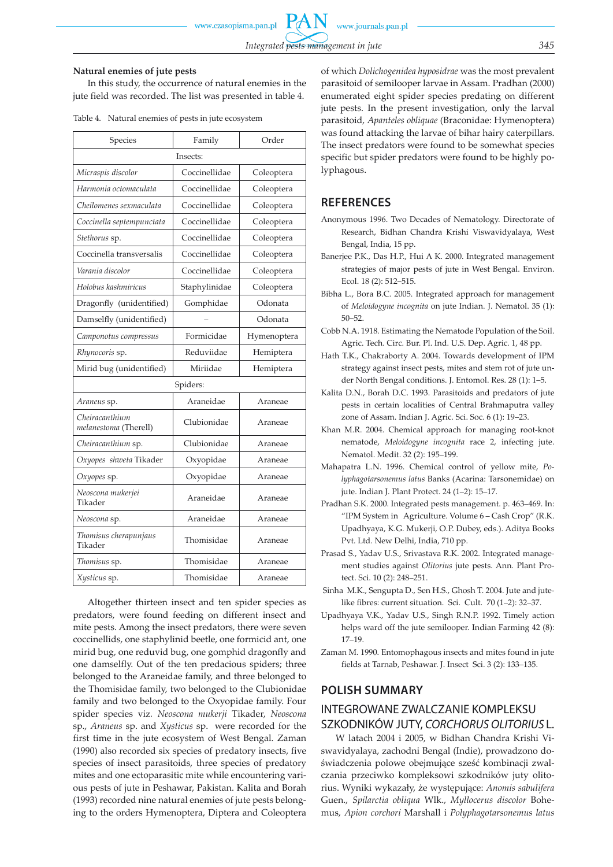www.czasopisma.pan.pl

In this study, the occurrence of natural enemies in the jute field was recorded. The list was presented in table 4.

|  | Table 4. Natural enemies of pests in jute ecosystem |  |  |  |
|--|-----------------------------------------------------|--|--|--|
|  |                                                     |  |  |  |

| Species                                 | Family        | Order       |  |  |  |  |  |
|-----------------------------------------|---------------|-------------|--|--|--|--|--|
| Insects:                                |               |             |  |  |  |  |  |
| Micraspis discolor                      | Coccinellidae | Coleoptera  |  |  |  |  |  |
| Harmonia octomaculata                   | Coccinellidae | Coleoptera  |  |  |  |  |  |
| Cheilomenes sexmaculata                 | Coccinellidae | Coleoptera  |  |  |  |  |  |
| Coccinella septempunctata               | Coccinellidae | Coleoptera  |  |  |  |  |  |
| Stethorus sp.                           | Coccinellidae | Coleoptera  |  |  |  |  |  |
| Coccinella transversalis                | Coccinellidae | Coleoptera  |  |  |  |  |  |
| Varania discolor                        | Coccinellidae | Coleoptera  |  |  |  |  |  |
| Holobus kashmiricus                     | Staphylinidae | Coleoptera  |  |  |  |  |  |
| Dragonfly (unidentified)                | Gomphidae     | Odonata     |  |  |  |  |  |
| Damselfly (unidentified)                |               | Odonata     |  |  |  |  |  |
| Camponotus compressus                   | Formicidae    | Hymenoptera |  |  |  |  |  |
| Rhynocoris sp.                          | Reduviidae    | Hemiptera   |  |  |  |  |  |
| Mirid bug (unidentified)                | Miriidae      | Hemiptera   |  |  |  |  |  |
|                                         | Spiders:      |             |  |  |  |  |  |
| Araneus sp.                             | Araneidae     | Araneae     |  |  |  |  |  |
| Cheiracanthium<br>melanestoma (Therell) | Clubionidae   | Araneae     |  |  |  |  |  |
| Cheiracanthium sp.                      | Clubionidae   | Araneae     |  |  |  |  |  |
| Oxyopes shweta Tikader                  | Oxyopidae     | Araneae     |  |  |  |  |  |
| Oxyopes sp.                             | Oxyopidae     | Araneae     |  |  |  |  |  |
| Neoscona mukerjei<br>Tikader            | Araneidae     | Araneae     |  |  |  |  |  |
| Neoscona sp.                            | Araneidae     | Araneae     |  |  |  |  |  |
| Thomisus cherapunjaus<br>Tikader        | Thomisidae    | Araneae     |  |  |  |  |  |
| Thomisus sp.                            | Thomisidae    | Araneae     |  |  |  |  |  |
| Xysticus sp.                            | Thomisidae    | Araneae     |  |  |  |  |  |

Altogether thirteen insect and ten spider species as predators, were found feeding on different insect and mite pests. Among the insect predators, there were seven coccinellids, one staphylinid beetle, one formicid ant, one mirid bug, one reduvid bug, one gomphid dragonfly and one damselfly. Out of the ten predacious spiders; three belonged to the Araneidae family, and three belonged to the Thomisidae family, two belonged to the Clubionidae family and two belonged to the Oxyopidae family. Four spider species viz*. Neoscona mukerji* Tikader, *Neoscona* sp., *Araneus* sp. and *Xysticus* sp. were recorded for the first time in the jute ecosystem of West Bengal. Zaman (1990) also recorded six species of predatory insects, five species of insect parasitoids, three species of predatory mites and one ectoparasitic mite while encountering various pests of jute in Peshawar, Pakistan. Kalita and Borah (1993) recorded nine natural enemies of jute pests belonging to the orders Hymenoptera, Diptera and Coleoptera of which *Dolichogenidea hyposidrae* was the most prevalent parasitoid of semilooper larvae in Assam. Pradhan (2000) enumerated eight spider species predating on different jute pests. In the present investigation, only the larval parasitoid, *Apanteles obliquae* (Braconidae: Hymenoptera) was found attacking the larvae of bihar hairy caterpillars. The insect predators were found to be somewhat species specific but spider predators were found to be highly polyphagous.

### **REFERENCES**

- Anonymous 1996. Two Decades of Nematology. Directorate of Research, Bidhan Chandra Krishi Viswavidyalaya, West Bengal, India, 15 pp.
- Banerjee P.K., Das H.P., Hui A K. 2000. Integrated management strategies of major pests of jute in West Bengal. Environ. Ecol. 18 (2): 512–515.
- Bibha L., Bora B.C. 2005. Integrated approach for management of *Meloidogyne incognita* on jute Indian. J. Nematol. 35 (1): 50–52.
- Cobb N.A. 1918. Estimating the Nematode Population of the Soil. Agric. Tech. Circ. Bur. Pl. Ind. U.S. Dep. Agric. 1, 48 pp.
- Hath T.K., Chakraborty A. 2004. Towards development of IPM strategy against insect pests, mites and stem rot of jute under North Bengal conditions. J. Entomol. Res. 28 (1): 1–5.
- Kalita D.N., Borah D.C. 1993. Parasitoids and predators of jute pests in certain localities of Central Brahmaputra valley zone of Assam. Indian J. Agric. Sci. Soc. 6 (1): 19–23.
- Khan M.R. 2004. Chemical approach for managing root-knot nematode, *Meloidogyne incognita* race 2, infecting jute. Nematol. Medit. 32 (2): 195–199.
- Mahapatra L.N. 1996. Chemical control of yellow mite, *Polyphagotarsonemus latus* Banks (Acarina: Tarsonemidae) on jute. Indian J. Plant Protect. 24 (1–2): 15–17.
- Pradhan S.K. 2000. Integrated pests management. p. 463–469. In: "IPM System in Agriculture. Volume 6 – Cash Crop" (R.K. Upadhyaya, K.G. Mukerji, O.P. Dubey, eds.). Aditya Books Pvt. Ltd. New Delhi, India, 710 pp.
- Prasad S., Yadav U.S., Srivastava R.K. 2002. Integrated management studies against *Olitorius* jute pests. Ann. Plant Protect. Sci. 10 (2): 248–251.
- Sinha M.K., Sengupta D., Sen H.S., Ghosh T. 2004. Jute and jutelike fibres: current situation. Sci. Cult. 70 (1–2): 32–37.
- Upadhyaya V.K., Yadav U.S., Singh R.N.P. 1992. Timely action helps ward off the jute semilooper. Indian Farming 42 (8): 17–19.
- Zaman M. 1990. Entomophagous insects and mites found in jute fields at Tarnab, Peshawar. J. Insect Sci. 3 (2): 133–135.

### **POLISH SUMMARY**

## INTEGROWANE ZWALCZANIE KOMPLEKSU SZKODNIKÓW JUTY, *CORCHORUS OLITORIUS* L.

W latach 2004 i 2005, w Bidhan Chandra Krishi Viswavidyalaya, zachodni Bengal (Indie), prowadzono doświadczenia polowe obejmujące sześć kombinacji zwalczania przeciwko kompleksowi szkodników juty olitorius. Wyniki wykazały, że występujące: *Anomis sabulifera*  Guen., *Spilarctia obliqua* Wlk., *Myllocerus discolor* Bohemus, *Apion corchori* Marshall i *Polyphagotarsonemus latus*